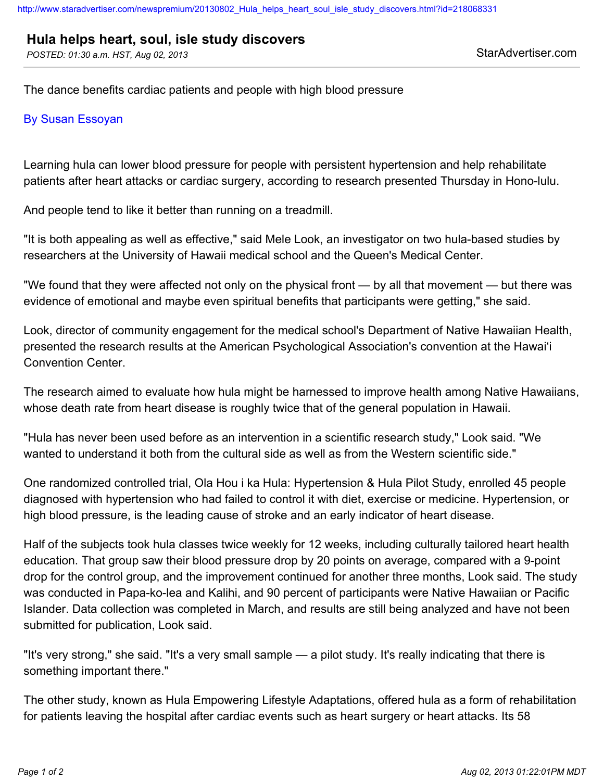## **Hula helps heart, soul, isle study discovers**

POSTED: 01:30 a.m. HST, Aug 02, 2013 StarAdvertiser.com

The dance benefits cardiac patients and people with high blood pressure

## By Susan Essoyan

Learning hula can lower blood pressure for people with persistent hypertension and help rehabilitate patients after heart attacks or cardiac surgery, according to research presented Thursday in Hono-lulu.

And people tend to like it better than running on a treadmill.

"It is both appealing as well as effective," said Mele Look, an investigator on two hula-based studies by researchers at the University of Hawaii medical school and the Queen's Medical Center.

"We found that they were affected not only on the physical front — by all that movement — but there was evidence of emotional and maybe even spiritual benefits that participants were getting," she said.

Look, director of community engagement for the medical school's Department of Native Hawaiian Health, presented the research results at the American Psychological Association's convention at the Hawai'i Convention Center.

The research aimed to evaluate how hula might be harnessed to improve health among Native Hawaiians, whose death rate from heart disease is roughly twice that of the general population in Hawaii.

"Hula has never been used before as an intervention in a scientific research study," Look said. "We wanted to understand it both from the cultural side as well as from the Western scientific side."

One randomized controlled trial, Ola Hou i ka Hula: Hypertension & Hula Pilot Study, enrolled 45 people diagnosed with hypertension who had failed to control it with diet, exercise or medicine. Hypertension, or high blood pressure, is the leading cause of stroke and an early indicator of heart disease.

Half of the subjects took hula classes twice weekly for 12 weeks, including culturally tailored heart health education. That group saw their blood pressure drop by 20 points on average, compared with a 9-point drop for the control group, and the improvement continued for another three months, Look said. The study was conducted in Papa-ko-lea and Kalihi, and 90 percent of participants were Native Hawaiian or Pacific Islander. Data collection was completed in March, and results are still being analyzed and have not been submitted for publication, Look said.

"It's very strong," she said. "It's a very small sample — a pilot study. It's really indicating that there is something important there."

The other study, known as Hula Empowering Lifestyle Adaptations, offered hula as a form of rehabilitation for patients leaving the hospital after cardiac events such as heart surgery or heart attacks. Its 58